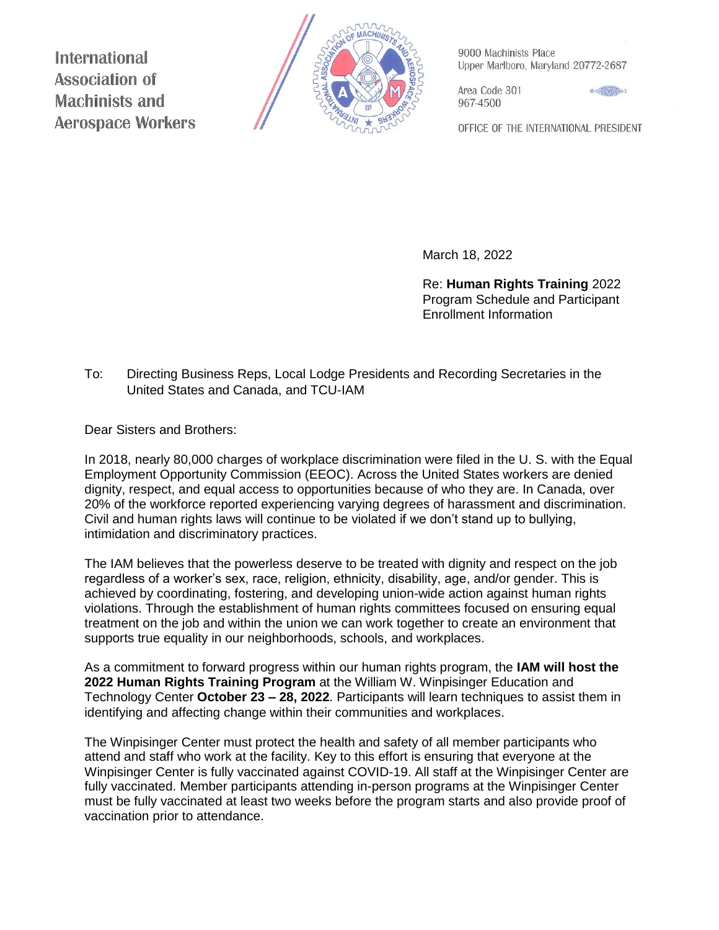**International Association of Machinists and Aerospace Workers** 



9000 Machinists Place Upper Marlboro, Maryland 20772-2687

Area Code 301 967-4500



OFFICE OF THE INTERNATIONAL PRESIDENT

March 18, 2022

Re: **Human Rights Training** 2022 Program Schedule and Participant Enrollment Information

## To: Directing Business Reps, Local Lodge Presidents and Recording Secretaries in the United States and Canada, and TCU-IAM

Dear Sisters and Brothers:

In 2018, nearly 80,000 charges of workplace discrimination were filed in the U. S. with the Equal Employment Opportunity Commission (EEOC). Across the United States workers are denied dignity, respect, and equal access to opportunities because of who they are. In Canada, over 20% of the workforce reported experiencing varying degrees of harassment and discrimination. Civil and human rights laws will continue to be violated if we don't stand up to bullying, intimidation and discriminatory practices.

The IAM believes that the powerless deserve to be treated with dignity and respect on the job regardless of a worker's sex, race, religion, ethnicity, disability, age, and/or gender. This is achieved by coordinating, fostering, and developing union-wide action against human rights violations. Through the establishment of human rights committees focused on ensuring equal treatment on the job and within the union we can work together to create an environment that supports true equality in our neighborhoods, schools, and workplaces.

As a commitment to forward progress within our human rights program, the **IAM will host the 2022 Human Rights Training Program** at the William W. Winpisinger Education and Technology Center **October 23 – 28, 2022**. Participants will learn techniques to assist them in identifying and affecting change within their communities and workplaces.

The Winpisinger Center must protect the health and safety of all member participants who attend and staff who work at the facility. Key to this effort is ensuring that everyone at the Winpisinger Center is fully vaccinated against COVID-19. All staff at the Winpisinger Center are fully vaccinated. Member participants attending in-person programs at the Winpisinger Center must be fully vaccinated at least two weeks before the program starts and also provide proof of vaccination prior to attendance.